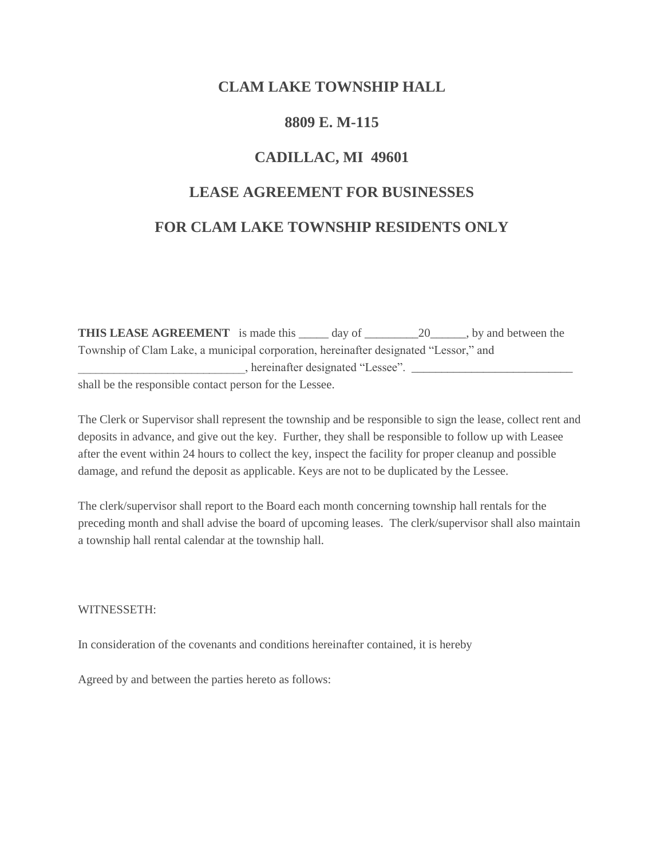## **CLAM LAKE TOWNSHIP HALL**

### **8809 E. M-115**

# **CADILLAC, MI 49601**

# **LEASE AGREEMENT FOR BUSINESSES**

## **FOR CLAM LAKE TOWNSHIP RESIDENTS ONLY**

**THIS LEASE AGREEMENT** is made this \_\_\_\_\_ day of \_\_\_\_\_\_\_\_\_\_\_\_\_\_\_\_, by and between the Township of Clam Lake, a municipal corporation, hereinafter designated "Lessor," and \_\_\_\_\_\_\_\_\_\_\_\_\_\_\_\_\_\_\_\_\_\_\_\_\_\_\_\_, hereinafter designated "Lessee". \_\_\_\_\_\_\_\_\_\_\_\_\_\_\_\_\_\_\_\_\_\_\_\_\_\_\_ shall be the responsible contact person for the Lessee.

The Clerk or Supervisor shall represent the township and be responsible to sign the lease, collect rent and deposits in advance, and give out the key. Further, they shall be responsible to follow up with Leasee after the event within 24 hours to collect the key, inspect the facility for proper cleanup and possible damage, and refund the deposit as applicable. Keys are not to be duplicated by the Lessee.

The clerk/supervisor shall report to the Board each month concerning township hall rentals for the preceding month and shall advise the board of upcoming leases. The clerk/supervisor shall also maintain a township hall rental calendar at the township hall.

#### WITNESSETH:

In consideration of the covenants and conditions hereinafter contained, it is hereby

Agreed by and between the parties hereto as follows: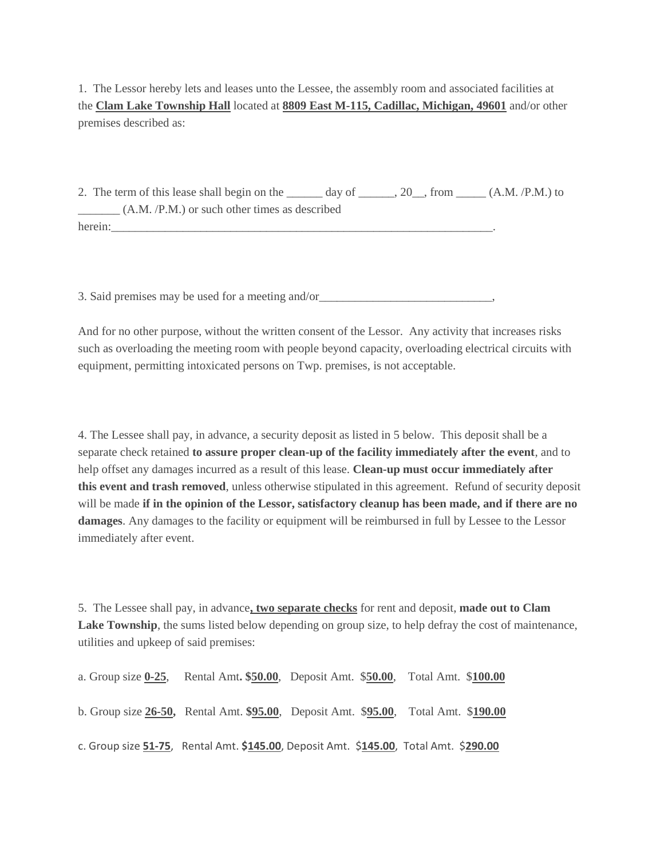1. The Lessor hereby lets and leases unto the Lessee, the assembly room and associated facilities at the **Clam Lake Township Hall** located at **8809 East M-115, Cadillac, Michigan, 49601** and/or other premises described as:

2. The term of this lease shall begin on the  $\frac{day}{dx}$  of  $\frac{20}{x}$ , from  $(A.M., P.M.)$  to \_\_\_\_\_\_\_ (A.M. /P.M.) or such other times as described herein:

3. Said premises may be used for a meeting and/or\_\_\_\_\_\_\_\_\_\_\_\_\_\_\_\_\_\_\_\_\_\_\_\_\_\_\_\_\_\_\_\_

And for no other purpose, without the written consent of the Lessor. Any activity that increases risks such as overloading the meeting room with people beyond capacity, overloading electrical circuits with equipment, permitting intoxicated persons on Twp. premises, is not acceptable.

4. The Lessee shall pay, in advance, a security deposit as listed in 5 below. This deposit shall be a separate check retained **to assure proper clean-up of the facility immediately after the event**, and to help offset any damages incurred as a result of this lease. **Clean-up must occur immediately after this event and trash removed**, unless otherwise stipulated in this agreement. Refund of security deposit will be made **if in the opinion of the Lessor, satisfactory cleanup has been made, and if there are no damages**. Any damages to the facility or equipment will be reimbursed in full by Lessee to the Lessor immediately after event.

5. The Lessee shall pay, in advance**, two separate checks** for rent and deposit, **made out to Clam Lake Township**, the sums listed below depending on group size, to help defray the cost of maintenance, utilities and upkeep of said premises:

| a. Group size $0-25$ , | Rental Amt. \$50.00, Deposit Amt. \$50.00, Total Amt. \$100.00                        |  |  |
|------------------------|---------------------------------------------------------------------------------------|--|--|
|                        | b. Group size 26-50, Rental Amt. \$95.00, Deposit Amt. \$95.00, Total Amt. \$190.00   |  |  |
|                        | c. Group size 51-75, Rental Amt. \$145.00, Deposit Amt. \$145.00, Total Amt. \$290.00 |  |  |